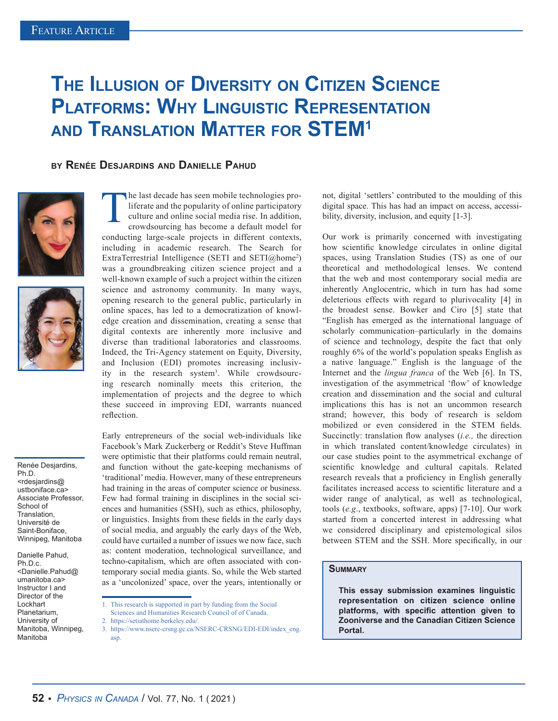## **The Illusion of Diversity on Citizen Science Platforms: Why Linguistic Representation and Translation Matter for STEM1**

## **by Renée Desjardins and Danielle Pahud**





Renée Desjardins, Ph.D. <rdesjardins@ ustboniface.ca> Associate Professor, School of Translation, Université de Saint-Boniface, Winnipeg, Manitoba

Danielle Pahud, Ph.D.c. <Danielle.Pahud@ umanitoba.ca> Instructor I and Director of the Lockhart Planetarium, University of Manitoba, Winnipeg, Manitoba

The last decade has seen mobile technologies pro-<br>liferate and the popularity of online participatory<br>culture and online social media rise. In addition,<br>crowdsourcing has become a default model for liferate and the popularity of online participatory culture and online social media rise. In addition, crowdsourcing has become a default model for conducting large-scale projects in different contexts, including in academic research. The Search for ExtraTerrestrial Intelligence (SETI and SETI@home<sup>2</sup>) was a groundbreaking citizen science project and a

well-known example of such a project within the citizen science and astronomy community. In many ways, opening research to the general public, particularly in online spaces, has led to a democratization of knowledge creation and dissemination, creating a sense that digital contexts are inherently more inclusive and diverse than traditional laboratories and classrooms. Indeed, the Tri-Agency statement on Equity, Diversity, and Inclusion (EDI) promotes increasing inclusivity in the research system<sup>3</sup>. While crowdsourcing research nominally meets this criterion, the implementation of projects and the degree to which these succeed in improving EDI, warrants nuanced reflection.

Early entrepreneurs of the social web-individuals like Facebook's Mark Zuckerberg or Reddit's Steve Huffman were optimistic that their platforms could remain neutral, and function without the gate-keeping mechanisms of 'traditional' media. However, many of these entrepreneurs had training in the areas of computer science or business. Few had formal training in disciplines in the social sciences and humanities (SSH), such as ethics, philosophy, or linguistics. Insights from these fields in the early days of social media, and arguably the early days of the Web, could have curtailed a number of issues we now face, such as: content moderation, technological surveillance, and techno-capitalism, which are often associated with contemporary social media giants. So, while the Web started as a 'uncolonized' space, over the years, intentionally or

not, digital 'settlers' contributed to the moulding of this digital space. This has had an impact on access, accessibility, diversity, inclusion, and equity [1-3].

Our work is primarily concerned with investigating how scientific knowledge circulates in online digital spaces, using Translation Studies (TS) as one of our theoretical and methodological lenses. We contend that the web and most contemporary social media are inherently Anglocentric, which in turn has had some deleterious effects with regard to plurivocality [4] in the broadest sense. Bowker and Ciro [5] state that "English has emerged as the international language of scholarly communication–particularly in the domains of science and technology, despite the fact that only roughly 6% of the world's population speaks English as a native language." English is the language of the Internet and the *lingua franca* of the Web [6]. In TS, investigation of the asymmetrical 'flow' of knowledge creation and dissemination and the social and cultural implications this has is not an uncommon research strand; however, this body of research is seldom mobilized or even considered in the STEM fields. Succinctly: translation flow analyses (*i.e.,* the direction in which translated content/knowledge circulates) in our case studies point to the asymmetrical exchange of scientific knowledge and cultural capitals. Related research reveals that a proficiency in English generally facilitates increased access to scientific literature and a wider range of analytical, as well as technological, tools (*e.g*., textbooks, software, apps) [7-10]. Our work started from a concerted interest in addressing what we considered disciplinary and epistemological silos between STEM and the SSH. More specifically, in our

## **Summary**

**This essay submission examines linguistic representation on citizen science online platforms, with specific attention given to Zooniverse and the Canadian Citizen Science Portal.**

<sup>1.</sup> This research is supported in part by funding from the Social

Sciences and Humanities Research Council of of Canada.

<sup>2.</sup> https://setiathome.berkeley.edu/.

<sup>3.</sup> https://www.nserc-crsng.gc.ca/NSERC-CRSNG/EDI-EDI/index\_eng. asp.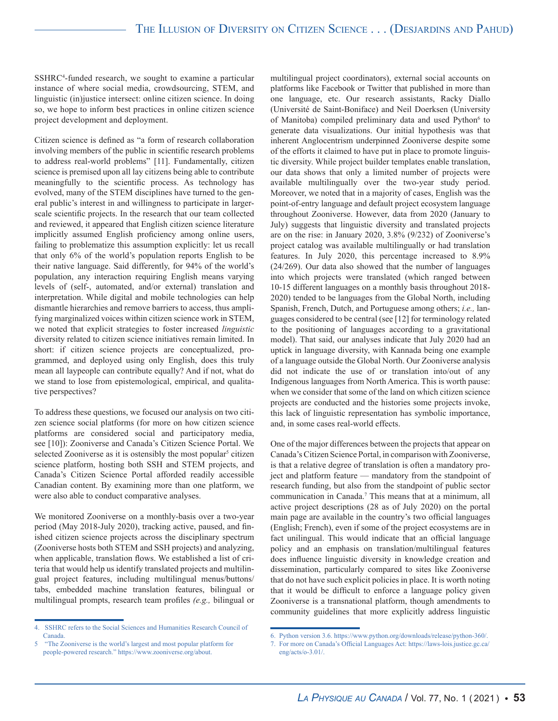SSHRC4 -funded research, we sought to examine a particular instance of where social media, crowdsourcing, STEM, and linguistic (in)justice intersect: online citizen science. In doing so, we hope to inform best practices in online citizen science project development and deployment.

Citizen science is defined as "a form of research collaboration involving members of the public in scientific research problems to address real-world problems" [11]. Fundamentally, citizen science is premised upon all lay citizens being able to contribute meaningfully to the scientific process. As technology has evolved, many of the STEM disciplines have turned to the general public's interest in and willingness to participate in largerscale scientific projects. In the research that our team collected and reviewed, it appeared that English citizen science literature implicitly assumed English proficiency among online users, failing to problematize this assumption explicitly: let us recall that only 6% of the world's population reports English to be their native language. Said differently, for 94% of the world's population, any interaction requiring English means varying levels of (self-, automated, and/or external) translation and interpretation. While digital and mobile technologies can help dismantle hierarchies and remove barriers to access, thus amplifying marginalized voices within citizen science work in STEM, we noted that explicit strategies to foster increased *linguistic*  diversity related to citizen science initiatives remain limited. In short: if citizen science projects are conceptualized, programmed, and deployed using only English, does this truly mean all laypeople can contribute equally? And if not, what do we stand to lose from epistemological, empirical, and qualitative perspectives?

To address these questions, we focused our analysis on two citizen science social platforms (for more on how citizen science platforms are considered social and participatory media, see [10]): Zooniverse and Canada's Citizen Science Portal. We selected Zooniverse as it is ostensibly the most popular<sup>5</sup> citizen science platform, hosting both SSH and STEM projects, and Canada's Citizen Science Portal afforded readily accessible Canadian content. By examining more than one platform, we were also able to conduct comparative analyses.

We monitored Zooniverse on a monthly-basis over a two-year period (May 2018-July 2020), tracking active, paused, and finished citizen science projects across the disciplinary spectrum (Zooniverse hosts both STEM and SSH projects) and analyzing, when applicable, translation flows. We established a list of criteria that would help us identify translated projects and multilingual project features, including multilingual menus/buttons/ tabs, embedded machine translation features, bilingual or multilingual prompts, research team profiles *(e.g.,* bilingual or

multilingual project coordinators), external social accounts on platforms like Facebook or Twitter that published in more than one language, etc. Our research assistants, Racky Diallo (Université de Saint-Boniface) and Neil Doerksen (University of Manitoba) compiled preliminary data and used Python<sup>6</sup> to generate data visualizations. Our initial hypothesis was that inherent Anglocentrism underpinned Zooniverse despite some of the efforts it claimed to have put in place to promote linguistic diversity. While project builder templates enable translation, our data shows that only a limited number of projects were available multilingually over the two-year study period. Moreover, we noted that in a majority of cases, English was the point-of-entry language and default project ecosystem language throughout Zooniverse. However, data from 2020 (January to July) suggests that linguistic diversity and translated projects are on the rise: in January 2020, 3.8% (9/232) of Zooniverse's project catalog was available multilingually or had translation features. In July 2020, this percentage increased to 8.9% (24/269). Our data also showed that the number of languages into which projects were translated (which ranged between 10-15 different languages on a monthly basis throughout 2018- 2020) tended to be languages from the Global North, including Spanish, French, Dutch, and Portuguese among others; *i.e.,* languages considered to be central (see [12] for terminology related to the positioning of languages according to a gravitational model). That said, our analyses indicate that July 2020 had an uptick in language diversity, with Kannada being one example of a language outside the Global North. Our Zooniverse analysis did not indicate the use of or translation into/out of any Indigenous languages from North America. This is worth pause: when we consider that some of the land on which citizen science projects are conducted and the histories some projects invoke, this lack of linguistic representation has symbolic importance, and, in some cases real-world effects.

One of the major differences between the projects that appear on Canada's Citizen Science Portal, in comparison with Zooniverse, is that a relative degree of translation is often a mandatory project and platform feature — mandatory from the standpoint of research funding, but also from the standpoint of public sector communication in Canada.7 This means that at a minimum, all active project descriptions (28 as of July 2020) on the portal main page are available in the country's two official languages (English; French), even if some of the project ecosystems are in fact unilingual. This would indicate that an official language policy and an emphasis on translation/multilingual features does influence linguistic diversity in knowledge creation and dissemination, particularly compared to sites like Zooniverse that do not have such explicit policies in place. It is worth noting that it would be difficult to enforce a language policy given Zooniverse is a transnational platform, though amendments to community guidelines that more explicitly address linguistic

<sup>4.</sup> SSHRC refers to the Social Sciences and Humanities Research Council of Canada.

<sup>5 &</sup>quot;The Zooniverse is the world's largest and most popular platform for people-powered research." https://www.zooniverse.org/about.

<sup>6.</sup> Python version 3.6. https://www.python.org/downloads/release/python-360/.

<sup>7.</sup> For more on Canada's Official Languages Act: https://laws-lois.justice.gc.ca/ eng/acts/o-3.01/.